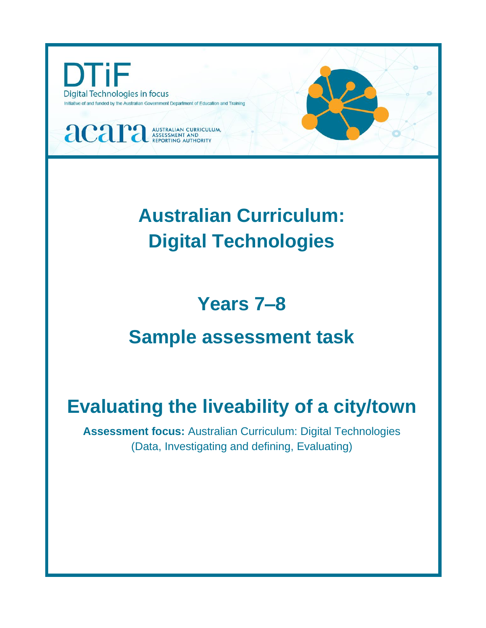

# **Australian Curriculum: Digital Technologies**

# **Years 7–8**

# **Sample assessment task**

# **Evaluating the liveability of a city/town**

**Assessment focus:** Australian Curriculum: Digital Technologies (Data, Investigating and defining, Evaluating)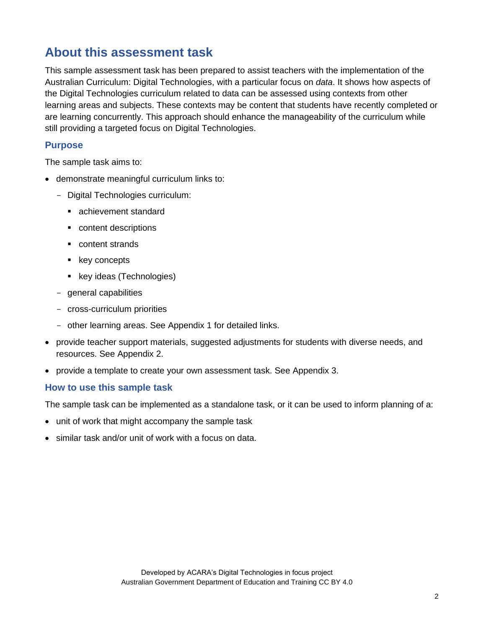# **About this assessment task**

This sample assessment task has been prepared to assist teachers with the implementation of the Australian Curriculum: Digital Technologies, with a particular focus on *data*. It shows how aspects of the Digital Technologies curriculum related to data can be assessed using contexts from other learning areas and subjects. These contexts may be content that students have recently completed or are learning concurrently. This approach should enhance the manageability of the curriculum while still providing a targeted focus on Digital Technologies.

### **Purpose**

The sample task aims to:

- demonstrate meaningful curriculum links to:
	- Digital Technologies curriculum:
		- achievement standard
		- content descriptions
		- content strands
		- key concepts
		- key ideas (Technologies)
	- general capabilities
	- cross-curriculum priorities
	- other learning areas. See Appendix 1 for detailed links.
- provide teacher support materials, suggested adjustments for students with diverse needs, and resources. See Appendix 2.
- provide a template to create your own assessment task. See Appendix 3.

#### **How to use this sample task**

The sample task can be implemented as a standalone task, or it can be used to inform planning of a:

- unit of work that might accompany the sample task
- similar task and/or unit of work with a focus on data.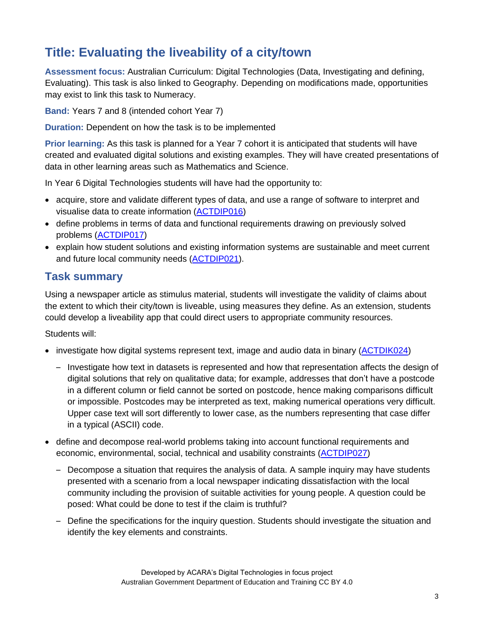# **Title: Evaluating the liveability of a city/town**

**Assessment focus:** Australian Curriculum: Digital Technologies (Data, Investigating and defining, Evaluating). This task is also linked to Geography. Depending on modifications made, opportunities may exist to link this task to Numeracy.

**Band:** Years 7 and 8 (intended cohort Year 7)

**Duration:** Dependent on how the task is to be implemented

**Prior learning:** As this task is planned for a Year 7 cohort it is anticipated that students will have created and evaluated digital solutions and existing examples. They will have created presentations of data in other learning areas such as Mathematics and Science.

In Year 6 Digital Technologies students will have had the opportunity to:

- acquire, store and validate different types of data, and use a range of software to interpret and visualise data to create information [\(ACTDIP016\)](http://www.scootle.edu.au/ec/search?accContentId=ACTDIP016)
- define problems in terms of data and functional requirements drawing on previously solved problems [\(ACTDIP017\)](http://www.scootle.edu.au/ec/search?accContentId=ACTDIP017)
- explain how student solutions and existing information systems are sustainable and meet current and future local community needs [\(ACTDIP021\)](http://www.scootle.edu.au/ec/search?accContentId=ACTDIP021).

# **Task summary**

Using a newspaper article as stimulus material, students will investigate the validity of claims about the extent to which their city/town is liveable, using measures they define. As an extension, students could develop a liveability app that could direct users to appropriate community resources.

Students will:

- investigate how digital systems represent text, image and audio data in binary [\(ACTDIK024\)](http://www.scootle.edu.au/ec/search?accContentId=ACTDIK024)
	- Investigate how text in datasets is represented and how that representation affects the design of digital solutions that rely on qualitative data; for example, addresses that don't have a postcode in a different column or field cannot be sorted on postcode, hence making comparisons difficult or impossible. Postcodes may be interpreted as text, making numerical operations very difficult. Upper case text will sort differently to lower case, as the numbers representing that case differ in a typical (ASCII) code.
- define and decompose real-world problems taking into account functional requirements and economic, environmental, social, technical and usability constraints [\(ACTDIP027\)](http://www.scootle.edu.au/ec/search?accContentId=ACTDIP027)
	- Decompose a situation that requires the analysis of data. A sample inquiry may have students presented with a scenario from a local newspaper indicating dissatisfaction with the local community including the provision of suitable activities for young people. A question could be posed: What could be done to test if the claim is truthful?
	- Define the specifications for the inquiry question. Students should investigate the situation and identify the key elements and constraints.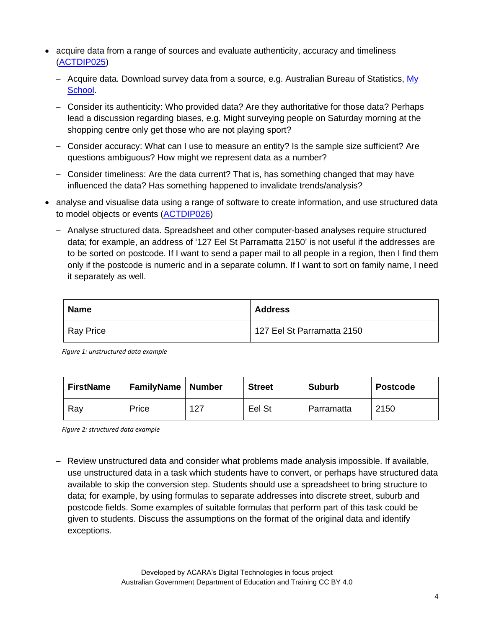- acquire data from a range of sources and evaluate authenticity, accuracy and timeliness [\(ACTDIP025\)](http://www.scootle.edu.au/ec/search?accContentId=ACTDIP025)
	- Acquire data. Download survey data from a source, e.g. Australian Bureau of Statistics, [My](https://myschool.edu.au/) [School.](https://myschool.edu.au/)
	- Consider its authenticity: Who provided data? Are they authoritative for those data? Perhaps lead a discussion regarding biases, e.g. Might surveying people on Saturday morning at the shopping centre only get those who are not playing sport?
	- Consider accuracy: What can I use to measure an entity? Is the sample size sufficient? Are questions ambiguous? How might we represent data as a number?
	- Consider timeliness: Are the data current? That is, has something changed that may have influenced the data? Has something happened to invalidate trends/analysis?
- analyse and visualise data using a range of software to create information, and use structured data to model objects or events [\(ACTDIP026\)](http://www.scootle.edu.au/ec/search?accContentId=ACTDIP026)
	- Analyse structured data. Spreadsheet and other computer-based analyses require structured data; for example, an address of '127 Eel St Parramatta 2150' is not useful if the addresses are to be sorted on postcode. If I want to send a paper mail to all people in a region, then I find them only if the postcode is numeric and in a separate column. If I want to sort on family name, I need it separately as well.

| <b>Name</b> | <b>Address</b>             |
|-------------|----------------------------|
| Ray Price   | 127 Eel St Parramatta 2150 |

*Figure 1: unstructured data example*

| <b>FirstName</b> | <b>FamilyName   Number</b> |     | <b>Street</b> | <b>Suburb</b> | <b>Postcode</b> |
|------------------|----------------------------|-----|---------------|---------------|-----------------|
| Ray              | Price                      | 127 | Eel St        | Parramatta    | 2150            |

*Figure 2: structured data example*

– Review unstructured data and consider what problems made analysis impossible. If available, use unstructured data in a task which students have to convert, or perhaps have structured data available to skip the conversion step. Students should use a spreadsheet to bring structure to data; for example, by using formulas to separate addresses into discrete street, suburb and postcode fields. Some examples of suitable formulas that perform part of this task could be given to students. Discuss the assumptions on the format of the original data and identify exceptions.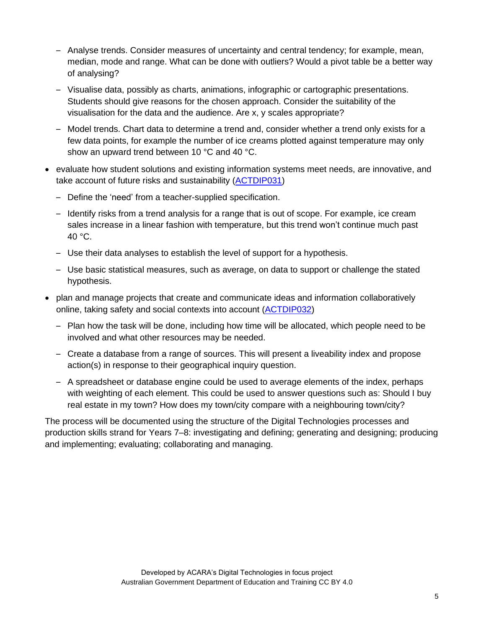- Analyse trends. Consider measures of uncertainty and central tendency; for example, mean, median, mode and range. What can be done with outliers? Would a pivot table be a better way of analysing?
- Visualise data, possibly as charts, animations, infographic or cartographic presentations. Students should give reasons for the chosen approach. Consider the suitability of the visualisation for the data and the audience. Are x, y scales appropriate?
- Model trends. Chart data to determine a trend and, consider whether a trend only exists for a few data points, for example the number of ice creams plotted against temperature may only show an upward trend between 10 °C and 40 °C.
- evaluate how student solutions and existing information systems meet needs, are innovative, and take account of future risks and sustainability [\(ACTDIP031\)](http://www.scootle.edu.au/ec/search?accContentId=ACTDIP031)
	- Define the 'need' from a teacher-supplied specification.
	- Identify risks from a trend analysis for a range that is out of scope. For example, ice cream sales increase in a linear fashion with temperature, but this trend won't continue much past 40 °C.
	- Use their data analyses to establish the level of support for a hypothesis.
	- Use basic statistical measures, such as average, on data to support or challenge the stated hypothesis.
- plan and manage projects that create and communicate ideas and information collaboratively online, taking safety and social contexts into account [\(ACTDIP032\)](http://www.scootle.edu.au/ec/search?accContentId=ACTDIP032)
	- Plan how the task will be done, including how time will be allocated, which people need to be involved and what other resources may be needed.
	- Create a database from a range of sources. This will present a liveability index and propose action(s) in response to their geographical inquiry question.
	- A spreadsheet or database engine could be used to average elements of the index, perhaps with weighting of each element. This could be used to answer questions such as: Should I buy real estate in my town? How does my town/city compare with a neighbouring town/city?

The process will be documented using the structure of the Digital Technologies processes and production skills strand for Years 7–8: investigating and defining; generating and designing; producing and implementing; evaluating; collaborating and managing.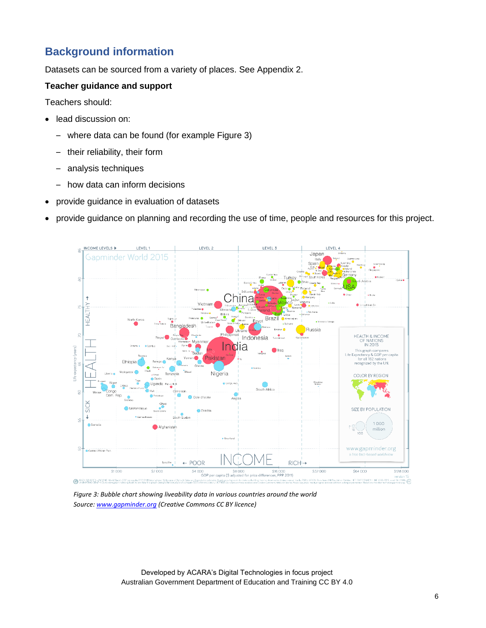# **Background information**

Datasets can be sourced from a variety of places. See Appendix 2.

### **Teacher guidance and support**

Teachers should:

- lead discussion on:
	- where data can be found (for example Figure 3)
	- their reliability, their form
	- analysis techniques
	- how data can inform decisions
- provide guidance in evaluation of datasets
- provide guidance on planning and recording the use of time, people and resources for this project.



*Figure 3: Bubble chart showing liveability data in various countries around the world Source: [www.gapminder.org](https://www.gapminder.org/) (Creative Commons CC BY licence)*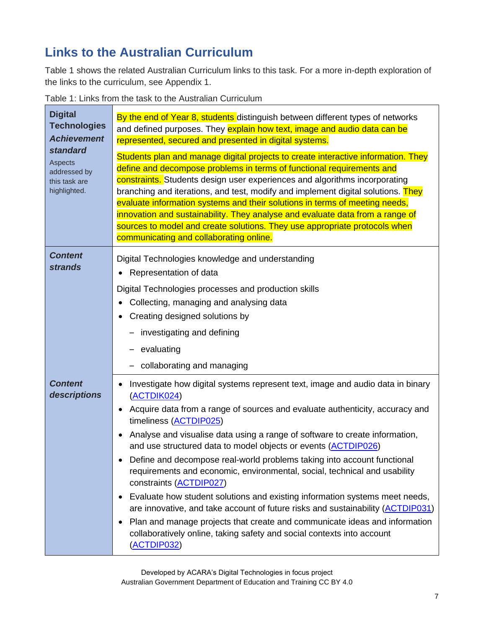# **Links to the Australian Curriculum**

Table 1 shows the related Australian Curriculum links to this task. For a more in-depth exploration of the links to the curriculum, see Appendix 1.

Table 1: Links from the task to the Australian Curriculum

| <b>Digital</b><br><b>Technologies</b><br><b>Achievement</b><br>standard<br><b>Aspects</b><br>addressed by<br>this task are<br>highlighted. | By the end of Year 8, students distinguish between different types of networks<br>and defined purposes. They explain how text, image and audio data can be<br>represented, secured and presented in digital systems.<br>Students plan and manage digital projects to create interactive information. They<br>define and decompose problems in terms of functional requirements and<br>constraints. Students design user experiences and algorithms incorporating<br>branching and iterations, and test, modify and implement digital solutions. They<br>evaluate information systems and their solutions in terms of meeting needs,<br>innovation and sustainability. They analyse and evaluate data from a range of<br>sources to model and create solutions. They use appropriate protocols when<br>communicating and collaborating online.                                                                                                         |
|--------------------------------------------------------------------------------------------------------------------------------------------|-------------------------------------------------------------------------------------------------------------------------------------------------------------------------------------------------------------------------------------------------------------------------------------------------------------------------------------------------------------------------------------------------------------------------------------------------------------------------------------------------------------------------------------------------------------------------------------------------------------------------------------------------------------------------------------------------------------------------------------------------------------------------------------------------------------------------------------------------------------------------------------------------------------------------------------------------------|
| <b>Content</b><br><b>strands</b>                                                                                                           | Digital Technologies knowledge and understanding<br>Representation of data<br>Digital Technologies processes and production skills<br>Collecting, managing and analysing data<br>Creating designed solutions by<br>investigating and defining<br>evaluating<br>collaborating and managing                                                                                                                                                                                                                                                                                                                                                                                                                                                                                                                                                                                                                                                             |
| <b>Content</b><br>descriptions                                                                                                             | Investigate how digital systems represent text, image and audio data in binary<br>$\bullet$<br>(ACTDIK024)<br>Acquire data from a range of sources and evaluate authenticity, accuracy and<br>$\bullet$<br>timeliness (ACTDIP025)<br>Analyse and visualise data using a range of software to create information,<br>$\bullet$<br>and use structured data to model objects or events (ACTDIP026)<br>Define and decompose real-world problems taking into account functional<br>requirements and economic, environmental, social, technical and usability<br>constraints (ACTDIP027)<br>Evaluate how student solutions and existing information systems meet needs,<br>$\bullet$<br>are innovative, and take account of future risks and sustainability (ACTDIP031)<br>Plan and manage projects that create and communicate ideas and information<br>$\bullet$<br>collaboratively online, taking safety and social contexts into account<br>(ACTDIP032) |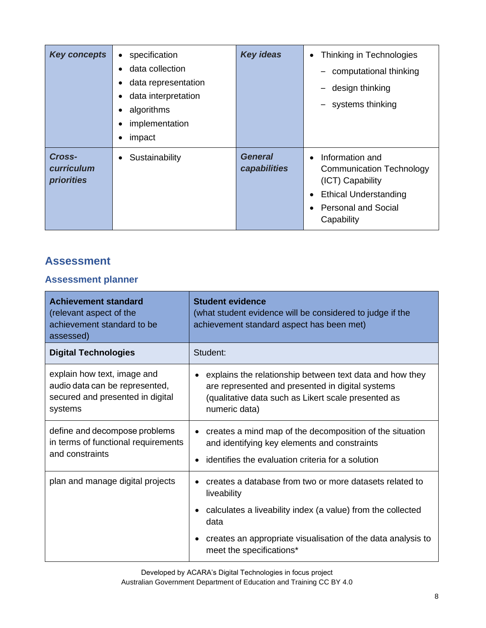| <b>Key concepts</b>                       | specification<br>$\bullet$<br>data collection<br>data representation<br>$\bullet$<br>data interpretation<br>٠<br>algorithms<br>٠<br>implementation<br>٠<br>impact<br>٠ | <b>Key ideas</b>               | Thinking in Technologies<br>$\bullet$<br>computational thinking<br>design thinking<br>systems thinking                                                                                    |
|-------------------------------------------|------------------------------------------------------------------------------------------------------------------------------------------------------------------------|--------------------------------|-------------------------------------------------------------------------------------------------------------------------------------------------------------------------------------------|
| Cross-<br>curriculum<br><b>priorities</b> | Sustainability<br>$\bullet$                                                                                                                                            | <b>General</b><br>capabilities | Information and<br>$\bullet$<br><b>Communication Technology</b><br>(ICT) Capability<br><b>Ethical Understanding</b><br>$\bullet$<br><b>Personal and Social</b><br>$\bullet$<br>Capability |

## **Assessment**

## **Assessment planner**

| <b>Achievement standard</b><br>(relevant aspect of the<br>achievement standard to be<br>assessed)            | <b>Student evidence</b><br>(what student evidence will be considered to judge if the<br>achievement standard aspect has been met)                                                    |
|--------------------------------------------------------------------------------------------------------------|--------------------------------------------------------------------------------------------------------------------------------------------------------------------------------------|
| <b>Digital Technologies</b>                                                                                  | Student:                                                                                                                                                                             |
| explain how text, image and<br>audio data can be represented,<br>secured and presented in digital<br>systems | explains the relationship between text data and how they<br>are represented and presented in digital systems<br>(qualitative data such as Likert scale presented as<br>numeric data) |
| define and decompose problems<br>in terms of functional requirements<br>and constraints                      | creates a mind map of the decomposition of the situation<br>and identifying key elements and constraints<br>identifies the evaluation criteria for a solution                        |
| plan and manage digital projects                                                                             | creates a database from two or more datasets related to<br>liveability                                                                                                               |
|                                                                                                              | calculates a liveability index (a value) from the collected<br>data                                                                                                                  |
|                                                                                                              | creates an appropriate visualisation of the data analysis to<br>meet the specifications*                                                                                             |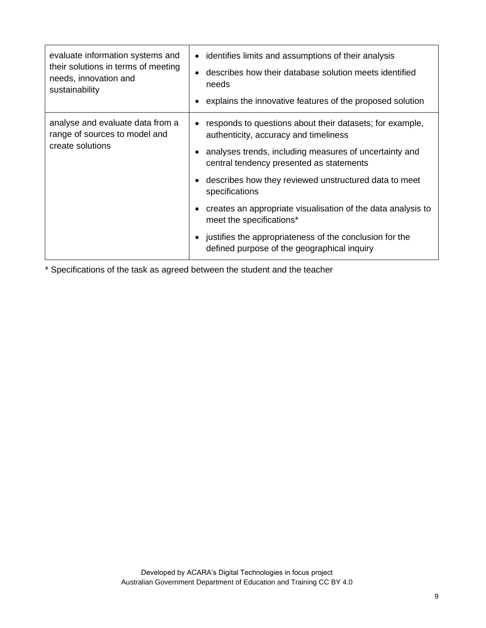| evaluate information systems and<br>their solutions in terms of meeting<br>needs, innovation and<br>sustainability | identifies limits and assumptions of their analysis<br>describes how their database solution meets identified<br>needs<br>explains the innovative features of the proposed solution                                                                              |
|--------------------------------------------------------------------------------------------------------------------|------------------------------------------------------------------------------------------------------------------------------------------------------------------------------------------------------------------------------------------------------------------|
| analyse and evaluate data from a<br>range of sources to model and<br>create solutions                              | responds to questions about their datasets; for example,<br>authenticity, accuracy and timeliness<br>analyses trends, including measures of uncertainty and<br>central tendency presented as statements<br>describes how they reviewed unstructured data to meet |
|                                                                                                                    | specifications<br>creates an appropriate visualisation of the data analysis to<br>meet the specifications*<br>justifies the appropriateness of the conclusion for the<br>defined purpose of the geographical inquiry                                             |

\* Specifications of the task as agreed between the student and the teacher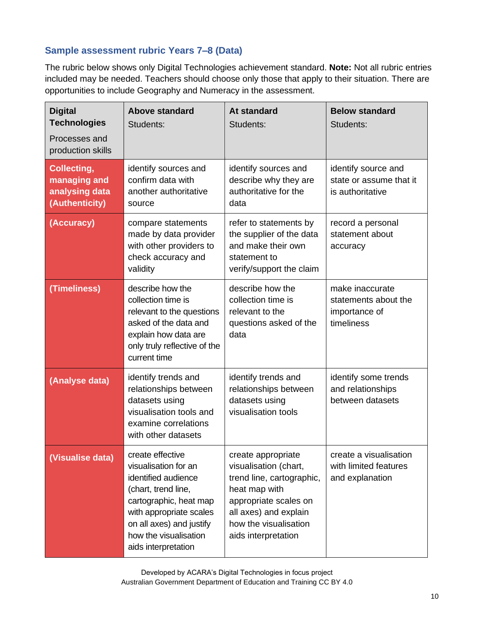### **Sample assessment rubric Years 7–8 (Data)**

The rubric below shows only Digital Technologies achievement standard. **Note:** Not all rubric entries included may be needed. Teachers should choose only those that apply to their situation. There are opportunities to include Geography and Numeracy in the assessment.

| <b>Digital</b><br><b>Technologies</b><br>Processes and<br>production skills | <b>Above standard</b><br>Students:                                                                                                                                                                                      | <b>At standard</b><br>Students:                                                                                                                                                             | <b>Below standard</b><br>Students:                                     |
|-----------------------------------------------------------------------------|-------------------------------------------------------------------------------------------------------------------------------------------------------------------------------------------------------------------------|---------------------------------------------------------------------------------------------------------------------------------------------------------------------------------------------|------------------------------------------------------------------------|
| Collecting,<br>managing and<br>analysing data<br>(Authenticity)             | identify sources and<br>confirm data with<br>another authoritative<br>source                                                                                                                                            | identify sources and<br>describe why they are<br>authoritative for the<br>data                                                                                                              | identify source and<br>state or assume that it<br>is authoritative     |
| (Accuracy)                                                                  | compare statements<br>made by data provider<br>with other providers to<br>check accuracy and<br>validity                                                                                                                | refer to statements by<br>the supplier of the data<br>and make their own<br>statement to<br>verify/support the claim                                                                        | record a personal<br>statement about<br>accuracy                       |
| (Timeliness)                                                                | describe how the<br>collection time is<br>relevant to the questions<br>asked of the data and<br>explain how data are<br>only truly reflective of the<br>current time                                                    | describe how the<br>collection time is<br>relevant to the<br>questions asked of the<br>data                                                                                                 | make inaccurate<br>statements about the<br>importance of<br>timeliness |
| (Analyse data)                                                              | identify trends and<br>relationships between<br>datasets using<br>visualisation tools and<br>examine correlations<br>with other datasets                                                                                | identify trends and<br>relationships between<br>datasets using<br>visualisation tools                                                                                                       | identify some trends<br>and relationships<br>between datasets          |
| (Visualise data)                                                            | create effective<br>visualisation for an<br>identified audience<br>(chart, trend line,<br>cartographic, heat map<br>with appropriate scales<br>on all axes) and justify<br>how the visualisation<br>aids interpretation | create appropriate<br>visualisation (chart,<br>trend line, cartographic,<br>heat map with<br>appropriate scales on<br>all axes) and explain<br>how the visualisation<br>aids interpretation | create a visualisation<br>with limited features<br>and explanation     |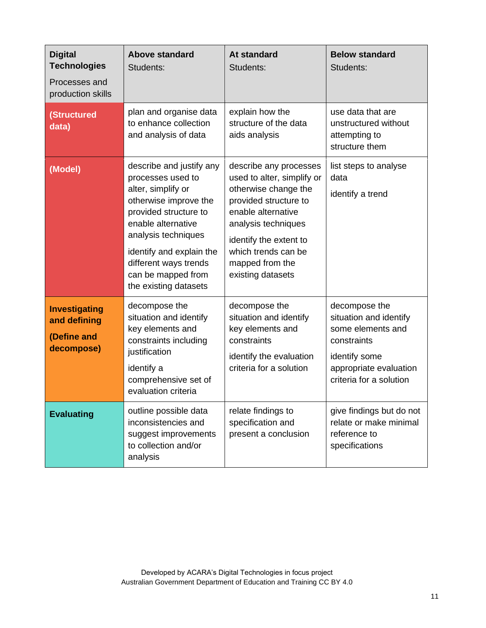| <b>Digital</b><br><b>Technologies</b><br>Processes and<br>production skills | <b>Above standard</b><br>Students:                                                                                                                                                                                                                                     | <b>At standard</b><br>Students:                                                                                                                                                                                                             | <b>Below standard</b><br>Students:                                                                                                                |
|-----------------------------------------------------------------------------|------------------------------------------------------------------------------------------------------------------------------------------------------------------------------------------------------------------------------------------------------------------------|---------------------------------------------------------------------------------------------------------------------------------------------------------------------------------------------------------------------------------------------|---------------------------------------------------------------------------------------------------------------------------------------------------|
| <b>(Structured</b><br>data)                                                 | plan and organise data<br>to enhance collection<br>and analysis of data                                                                                                                                                                                                | explain how the<br>structure of the data<br>aids analysis                                                                                                                                                                                   | use data that are<br>unstructured without<br>attempting to<br>structure them                                                                      |
| (Model)                                                                     | describe and justify any<br>processes used to<br>alter, simplify or<br>otherwise improve the<br>provided structure to<br>enable alternative<br>analysis techniques<br>identify and explain the<br>different ways trends<br>can be mapped from<br>the existing datasets | describe any processes<br>used to alter, simplify or<br>otherwise change the<br>provided structure to<br>enable alternative<br>analysis techniques<br>identify the extent to<br>which trends can be<br>mapped from the<br>existing datasets | list steps to analyse<br>data<br>identify a trend                                                                                                 |
| <b>Investigating</b><br>and defining<br>(Define and<br>decompose)           | decompose the<br>situation and identify<br>key elements and<br>constraints including<br>justification<br>identify a<br>comprehensive set of<br>evaluation criteria                                                                                                     | decompose the<br>situation and identify<br>key elements and<br>constraints<br>identify the evaluation<br>criteria for a solution                                                                                                            | decompose the<br>situation and identify<br>some elements and<br>constraints<br>identify some<br>appropriate evaluation<br>criteria for a solution |
| <b>Evaluating</b>                                                           | outline possible data<br>inconsistencies and<br>suggest improvements<br>to collection and/or<br>analysis                                                                                                                                                               | relate findings to<br>specification and<br>present a conclusion                                                                                                                                                                             | give findings but do not<br>relate or make minimal<br>reference to<br>specifications                                                              |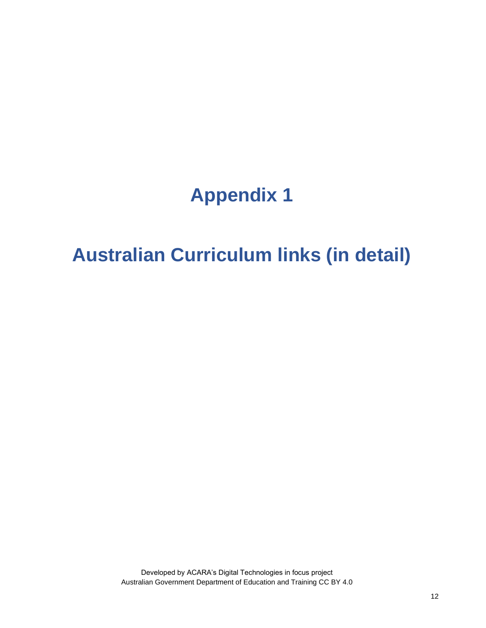# **Appendix 1**

# **Australian Curriculum links (in detail)**

Developed by ACARA's Digital Technologies in focus project Australian Government Department of Education and Training CC BY 4.0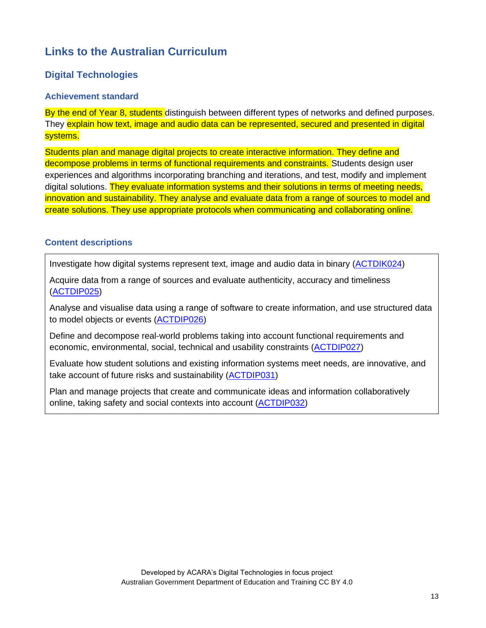## **Links to the Australian Curriculum**

### **Digital Technologies**

#### **Achievement standard**

By the end of Year 8, students distinguish between different types of networks and defined purposes. They explain how text, image and audio data can be represented, secured and presented in digital systems.

Students plan and manage digital projects to create interactive information. They define and decompose problems in terms of functional requirements and constraints. Students design user experiences and algorithms incorporating branching and iterations, and test, modify and implement digital solutions. They evaluate information systems and their solutions in terms of meeting needs, innovation and sustainability. They analyse and evaluate data from a range of sources to model and create solutions. They use appropriate protocols when communicating and collaborating online.

### **Content descriptions**

Investigate how digital systems represent text, image and audio data in binary [\(ACTDIK024\)](http://www.scootle.edu.au/ec/search?accContentId=ACTDIK024)

Acquire data from a range of sources and evaluate authenticity, accuracy and timeliness [\(ACTDIP025\)](http://www.scootle.edu.au/ec/search?accContentId=ACTDIP025)

Analyse and visualise data using a range of software to create information, and use structured data to model objects or events [\(ACTDIP026\)](http://www.scootle.edu.au/ec/search?accContentId=ACTDIP026)

Define and decompose real-world problems taking into account functional requirements and economic, environmental, social, technical and usability constraints [\(ACTDIP027\)](http://www.scootle.edu.au/ec/search?accContentId=ACTDIP027)

Evaluate how student solutions and existing information systems meet needs, are innovative, and take account of future risks and sustainability [\(ACTDIP031\)](http://www.scootle.edu.au/ec/search?accContentId=ACTDIP031)

Plan and manage projects that create and communicate ideas and information collaboratively online, taking safety and social contexts into account [\(ACTDIP032\)](http://www.scootle.edu.au/ec/search?accContentId=ACTDIP032)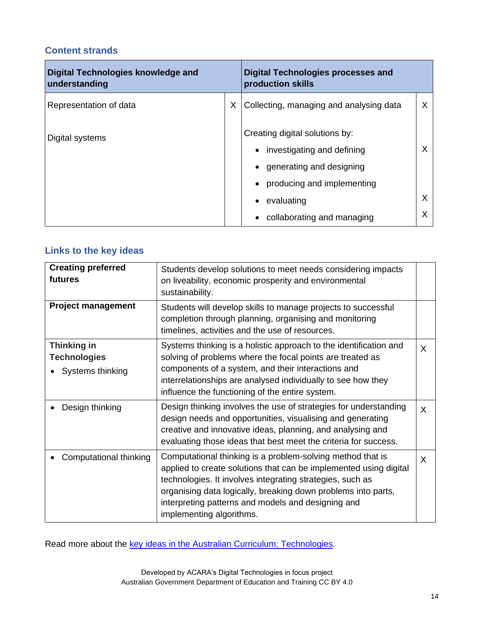### **Content strands**

| Digital Technologies knowledge and<br>understanding |   | <b>Digital Technologies processes and</b><br>production skills |   |
|-----------------------------------------------------|---|----------------------------------------------------------------|---|
| Representation of data                              | X | Collecting, managing and analysing data                        | X |
| Digital systems                                     |   | Creating digital solutions by:<br>investigating and defining   | X |
|                                                     |   | generating and designing<br>producing and implementing         |   |
|                                                     |   | evaluating                                                     | X |
|                                                     |   | collaborating and managing                                     |   |

## **Links to the key ideas**

| <b>Creating preferred</b><br>futures                          | Students develop solutions to meet needs considering impacts<br>on liveability, economic prosperity and environmental<br>sustainability.                                                                                                                                                                                                        |   |
|---------------------------------------------------------------|-------------------------------------------------------------------------------------------------------------------------------------------------------------------------------------------------------------------------------------------------------------------------------------------------------------------------------------------------|---|
| <b>Project management</b>                                     | Students will develop skills to manage projects to successful<br>completion through planning, organising and monitoring<br>timelines, activities and the use of resources.                                                                                                                                                                      |   |
| <b>Thinking in</b><br><b>Technologies</b><br>Systems thinking | Systems thinking is a holistic approach to the identification and<br>solving of problems where the focal points are treated as<br>components of a system, and their interactions and<br>interrelationships are analysed individually to see how they<br>influence the functioning of the entire system.                                         | X |
| Design thinking                                               | Design thinking involves the use of strategies for understanding<br>design needs and opportunities, visualising and generating<br>creative and innovative ideas, planning, and analysing and<br>evaluating those ideas that best meet the criteria for success.                                                                                 | X |
| Computational thinking                                        | Computational thinking is a problem-solving method that is<br>applied to create solutions that can be implemented using digital<br>technologies. It involves integrating strategies, such as<br>organising data logically, breaking down problems into parts,<br>interpreting patterns and models and designing and<br>implementing algorithms. | X |

Read more about the key ideas in the Australian Curriculum: [Technologies.](https://www.australiancurriculum.edu.au/f-10-curriculum/technologies/key-ideas/)

Developed by ACARA's Digital Technologies in focus project Australian Government Department of Education and Training CC BY 4.0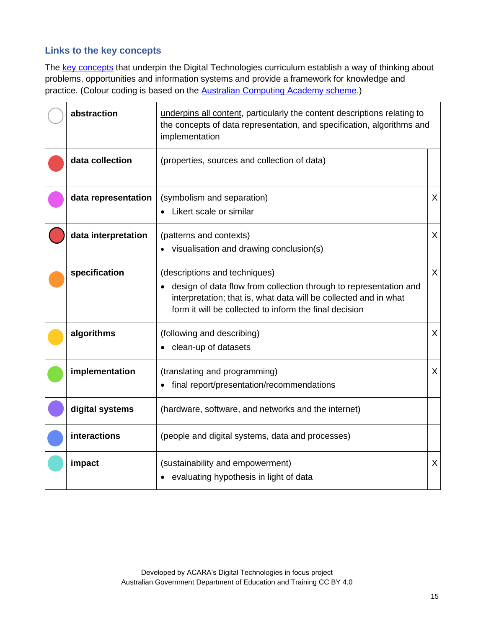### **Links to the key concepts**

The key [concepts](https://www.australiancurriculum.edu.au/f-10-curriculum/technologies/digital-technologies/structure/) that underpin the Digital Technologies curriculum establish a way of thinking about problems, opportunities and information systems and provide a framework for knowledge and practice. (Colour coding is based on the **Australian [Computing](https://aca.edu.au/#what-is-the-digital-technologies-curriculum) Academy scheme**.)

| abstraction         | underpins all content, particularly the content descriptions relating to<br>the concepts of data representation, and specification, algorithms and<br>implementation                                                               |              |
|---------------------|------------------------------------------------------------------------------------------------------------------------------------------------------------------------------------------------------------------------------------|--------------|
| data collection     | (properties, sources and collection of data)                                                                                                                                                                                       |              |
| data representation | (symbolism and separation)<br>Likert scale or similar                                                                                                                                                                              | $\mathsf{X}$ |
| data interpretation | (patterns and contexts)<br>• visualisation and drawing conclusion(s)                                                                                                                                                               | $\mathsf{X}$ |
| specification       | (descriptions and techniques)<br>• design of data flow from collection through to representation and<br>interpretation; that is, what data will be collected and in what<br>form it will be collected to inform the final decision | $\mathsf{X}$ |
| algorithms          | (following and describing)<br>clean-up of datasets                                                                                                                                                                                 | X            |
| implementation      | (translating and programming)<br>final report/presentation/recommendations                                                                                                                                                         | $\mathsf{X}$ |
| digital systems     | (hardware, software, and networks and the internet)                                                                                                                                                                                |              |
| interactions        | (people and digital systems, data and processes)                                                                                                                                                                                   |              |
| impact              | (sustainability and empowerment)<br>• evaluating hypothesis in light of data                                                                                                                                                       | $\mathsf{X}$ |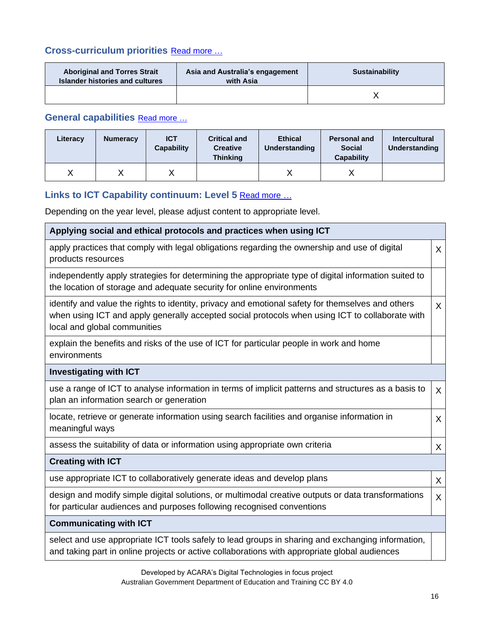## **Cross-curriculum priorities** [Read](https://www.australiancurriculum.edu.au/f-10-curriculum/cross-curriculum-priorities/) more …

| <b>Aboriginal and Torres Strait</b><br><b>Islander histories and cultures</b> | Asia and Australia's engagement<br>with Asia | <b>Sustainability</b> |
|-------------------------------------------------------------------------------|----------------------------------------------|-----------------------|
|                                                                               |                                              |                       |

## **General capabilities** [Read](https://www.australiancurriculum.edu.au/f-10-curriculum/general-capabilities/) more …

| Literacy | <b>Numeracy</b> | <b>ICT</b><br><b>Capability</b> | <b>Critical and</b><br><b>Creative</b><br><b>Thinking</b> | <b>Ethical</b><br><b>Understanding</b> | <b>Personal and</b><br><b>Social</b><br><b>Capability</b> | <b>Intercultural</b><br>Understanding |
|----------|-----------------|---------------------------------|-----------------------------------------------------------|----------------------------------------|-----------------------------------------------------------|---------------------------------------|
|          |                 |                                 |                                                           |                                        |                                                           |                                       |

## **Links to ICT Capability continuum: Level 5** [Read](https://www.australiancurriculum.edu.au/f-10-curriculum/general-capabilities/information-and-communication-technology-ict-capability/) more *…*

Depending on the year level, please adjust content to appropriate level.

| Applying social and ethical protocols and practices when using ICT                                                                                                                                                                   |              |  |
|--------------------------------------------------------------------------------------------------------------------------------------------------------------------------------------------------------------------------------------|--------------|--|
| apply practices that comply with legal obligations regarding the ownership and use of digital<br>products resources                                                                                                                  | X            |  |
| independently apply strategies for determining the appropriate type of digital information suited to<br>the location of storage and adequate security for online environments                                                        |              |  |
| identify and value the rights to identity, privacy and emotional safety for themselves and others<br>when using ICT and apply generally accepted social protocols when using ICT to collaborate with<br>local and global communities | X            |  |
| explain the benefits and risks of the use of ICT for particular people in work and home<br>environments                                                                                                                              |              |  |
| <b>Investigating with ICT</b>                                                                                                                                                                                                        |              |  |
| use a range of ICT to analyse information in terms of implicit patterns and structures as a basis to<br>plan an information search or generation                                                                                     |              |  |
| locate, retrieve or generate information using search facilities and organise information in<br>meaningful ways                                                                                                                      | X            |  |
| assess the suitability of data or information using appropriate own criteria                                                                                                                                                         | X            |  |
| <b>Creating with ICT</b>                                                                                                                                                                                                             |              |  |
| use appropriate ICT to collaboratively generate ideas and develop plans                                                                                                                                                              | $\mathsf{X}$ |  |
| design and modify simple digital solutions, or multimodal creative outputs or data transformations<br>for particular audiences and purposes following recognised conventions                                                         | $\mathsf{X}$ |  |
| <b>Communicating with ICT</b>                                                                                                                                                                                                        |              |  |
| select and use appropriate ICT tools safely to lead groups in sharing and exchanging information,<br>and taking part in online projects or active collaborations with appropriate global audiences                                   |              |  |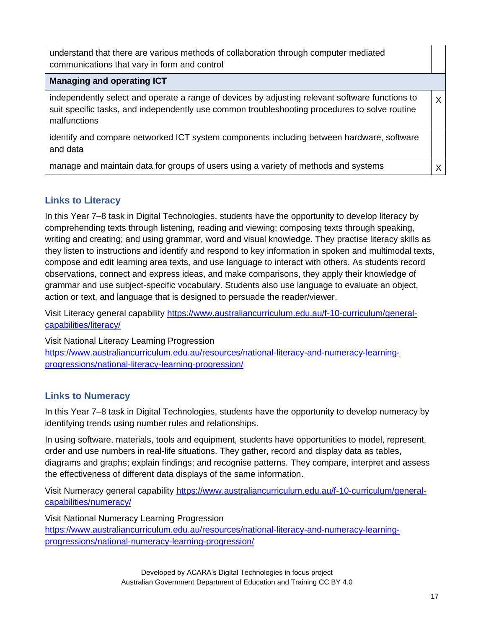| understand that there are various methods of collaboration through computer mediated<br>communications that vary in form and control                                                                             |         |
|------------------------------------------------------------------------------------------------------------------------------------------------------------------------------------------------------------------|---------|
| <b>Managing and operating ICT</b>                                                                                                                                                                                |         |
| independently select and operate a range of devices by adjusting relevant software functions to<br>suit specific tasks, and independently use common troubleshooting procedures to solve routine<br>malfunctions | $\sf X$ |
| identify and compare networked ICT system components including between hardware, software<br>and data                                                                                                            |         |
| manage and maintain data for groups of users using a variety of methods and systems                                                                                                                              |         |

## **Links to Literacy**

In this Year 7–8 task in Digital Technologies, students have the opportunity to develop literacy by comprehending texts through listening, reading and viewing; composing texts through speaking, writing and creating; and using grammar, word and visual knowledge. They practise literacy skills as they listen to instructions and identify and respond to key information in spoken and multimodal texts, compose and edit learning area texts, and use language to interact with others. As students record observations, connect and express ideas, and make comparisons, they apply their knowledge of grammar and use subject-specific vocabulary. Students also use language to evaluate an object, action or text, and language that is designed to persuade the reader/viewer.

Visit Literacy general capability [https://www.australiancurriculum.edu.au/f-10-curriculum/general](https://www.australiancurriculum.edu.au/f-10-curriculum/general-capabilities/literacy/)[capabilities/literacy/](https://www.australiancurriculum.edu.au/f-10-curriculum/general-capabilities/literacy/)

Visit National Literacy Learning Progression [https://www.australiancurriculum.edu.au/resources/national-literacy-and-numeracy-learning](https://www.australiancurriculum.edu.au/resources/national-literacy-and-numeracy-learning-progressions/national-literacy-learning-progression/)[progressions/national-literacy-learning-progression/](https://www.australiancurriculum.edu.au/resources/national-literacy-and-numeracy-learning-progressions/national-literacy-learning-progression/)

## **Links to Numeracy**

In this Year 7–8 task in Digital Technologies, students have the opportunity to develop numeracy by identifying trends using number rules and relationships.

In using software, materials, tools and equipment, students have opportunities to model, represent, order and use numbers in real-life situations. They gather, record and display data as tables, diagrams and graphs; explain findings; and recognise patterns. They compare, interpret and assess the effectiveness of different data displays of the same information.

Visit Numeracy general capability [https://www.australiancurriculum.edu.au/f-10-curriculum/general](https://www.australiancurriculum.edu.au/f-10-curriculum/general-capabilities/numeracy/)[capabilities/numeracy/](https://www.australiancurriculum.edu.au/f-10-curriculum/general-capabilities/numeracy/)

Visit National Numeracy Learning Progression [https://www.australiancurriculum.edu.au/resources/national-literacy-and-numeracy-learning](https://www.australiancurriculum.edu.au/resources/national-literacy-and-numeracy-learning-progressions/national-numeracy-learning-progression/)[progressions/national-numeracy-learning-progression/](https://www.australiancurriculum.edu.au/resources/national-literacy-and-numeracy-learning-progressions/national-numeracy-learning-progression/)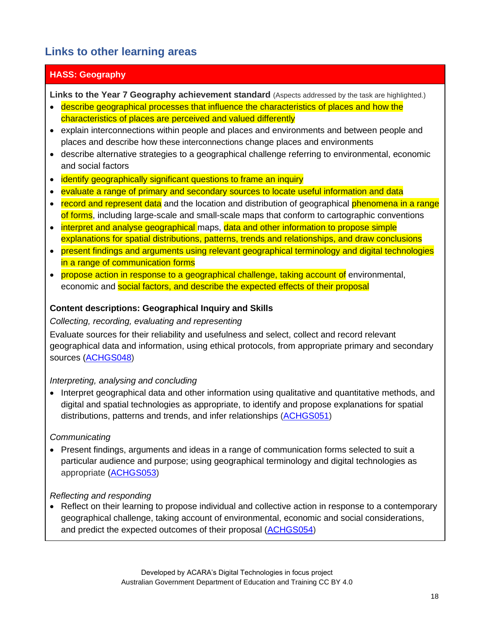## **Links to other learning areas**

## **HASS: Geography**

**Links to the Year 7 Geography achievement standard** (Aspects addressed by the task are highlighted.)

- describe geographical processes that influence the characteristics of places and how the characteristics of places are perceived and valued differently
- explain interconnections within people and places and environments and between people and places and describe how these interconnections change places and environments
- describe alternative strategies to a geographical challenge referring to environmental, economic and social factors
- identify geographically significant questions to frame an inquiry
- evaluate a range of primary and secondary sources to locate useful information and data
- record and represent data and the location and distribution of geographical phenomena in a range of forms, including large-scale and small-scale maps that conform to cartographic conventions
- interpret and analyse geographical maps, data and other information to propose simple explanations for spatial distributions, patterns, trends and relationships, and draw conclusions
- present findings and arguments using relevant geographical terminology and digital technologies in a range of communication forms
- propose action in response to a geographical challenge, taking account of environmental, economic and social factors, and describe the expected effects of their proposal

### **Content descriptions: Geographical Inquiry and Skills**

### *Collecting, recording, evaluating and representing*

Evaluate sources for their reliability and usefulness and select, collect and record relevant geographical data and information, using ethical protocols, from appropriate primary and secondary sources [\(ACHGS048\)](http://www.scootle.edu.au/ec/search?accContentId=ACHGS048)

### *Interpreting, analysing and concluding*

• Interpret geographical data and other information using qualitative and quantitative methods, and digital and spatial technologies as appropriate, to identify and propose explanations for spatial distributions, patterns and trends, and infer relationships [\(ACHGS051\)](http://www.scootle.edu.au/ec/search?accContentId=ACHGS059)

## *Communicating*

• Present findings, arguments and ideas in a range of communication forms selected to suit a particular audience and purpose; using geographical terminology and digital technologies as appropriate [\(ACHGS053\)](http://www.scootle.edu.au/ec/search?accContentId=ACHGS053)

### *Reflecting and responding*

• Reflect on their learning to propose individual and collective action in response to a contemporary geographical challenge, taking account of environmental, economic and social considerations, and predict the expected outcomes of their proposal [\(ACHGS054\)](http://www.scootle.edu.au/ec/search?accContentId=ACHGS054)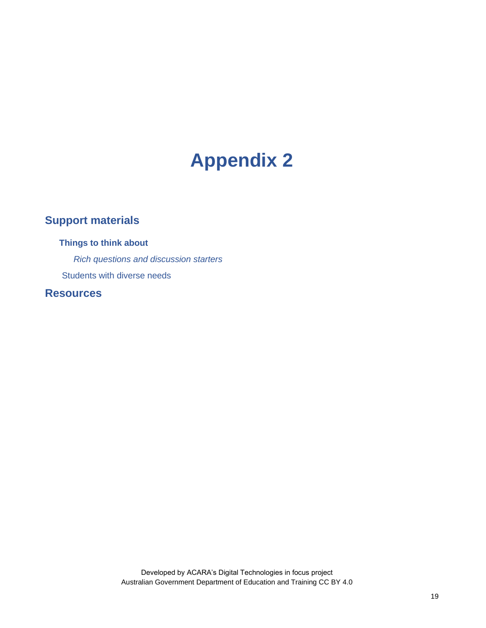# **Appendix 2**

# **Support materials**

**Things to think about** *Rich questions and discussion starters* Students with diverse needs

**Resources**

Developed by ACARA's Digital Technologies in focus project Australian Government Department of Education and Training CC BY 4.0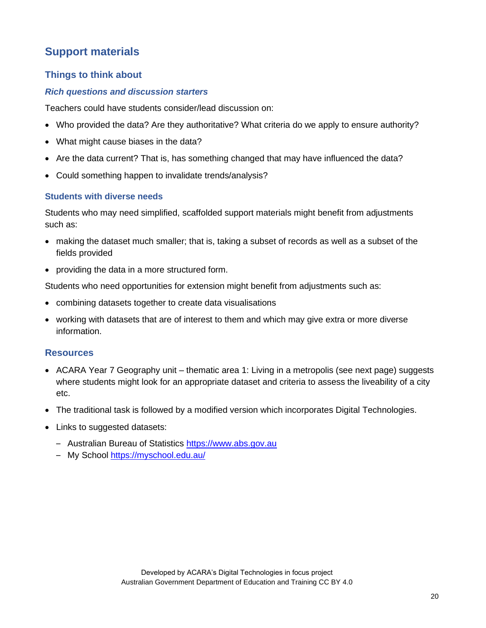## **Support materials**

### **Things to think about**

### *Rich questions and discussion starters*

Teachers could have students consider/lead discussion on:

- Who provided the data? Are they authoritative? What criteria do we apply to ensure authority?
- What might cause biases in the data?
- Are the data current? That is, has something changed that may have influenced the data?
- Could something happen to invalidate trends/analysis?

### **Students with diverse needs**

Students who may need simplified, scaffolded support materials might benefit from adjustments such as:

- making the dataset much smaller; that is, taking a subset of records as well as a subset of the fields provided
- providing the data in a more structured form.

Students who need opportunities for extension might benefit from adjustments such as:

- combining datasets together to create data visualisations
- working with datasets that are of interest to them and which may give extra or more diverse information.

### **Resources**

- ACARA Year 7 Geography unit thematic area 1: Living in a metropolis (see next page) suggests where students might look for an appropriate dataset and criteria to assess the liveability of a city etc.
- The traditional task is followed by a modified version which incorporates Digital Technologies.
- Links to suggested datasets:
	- Australian Bureau of Statistics [https://www.abs.gov.au](https://www.abs.gov.au/)
	- My School <https://myschool.edu.au/>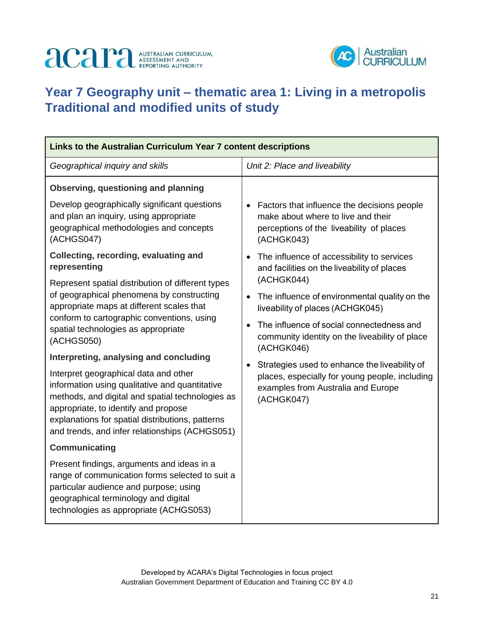# **ACAPA** ASSESSMENT AND



# **Year 7 Geography unit – thematic area 1: Living in a metropolis Traditional and modified units of study**

| Links to the Australian Curriculum Year 7 content descriptions                                                                                                                                                                                                                                                                      |                                                                                                                                                                        |  |  |  |
|-------------------------------------------------------------------------------------------------------------------------------------------------------------------------------------------------------------------------------------------------------------------------------------------------------------------------------------|------------------------------------------------------------------------------------------------------------------------------------------------------------------------|--|--|--|
| Geographical inquiry and skills                                                                                                                                                                                                                                                                                                     | Unit 2: Place and liveability                                                                                                                                          |  |  |  |
| Observing, questioning and planning                                                                                                                                                                                                                                                                                                 |                                                                                                                                                                        |  |  |  |
| Develop geographically significant questions<br>and plan an inquiry, using appropriate<br>geographical methodologies and concepts<br>(ACHGS047)                                                                                                                                                                                     | Factors that influence the decisions people<br>$\bullet$<br>make about where to live and their<br>perceptions of the liveability of places<br>(ACHGK043)               |  |  |  |
| Collecting, recording, evaluating and<br>representing                                                                                                                                                                                                                                                                               | The influence of accessibility to services<br>$\bullet$<br>and facilities on the liveability of places                                                                 |  |  |  |
| Represent spatial distribution of different types<br>of geographical phenomena by constructing<br>appropriate maps at different scales that<br>conform to cartographic conventions, using<br>spatial technologies as appropriate                                                                                                    | (ACHGK044)<br>The influence of environmental quality on the<br>$\bullet$<br>liveability of places (ACHGK045)<br>The influence of social connectedness and<br>$\bullet$ |  |  |  |
| (ACHGS050)                                                                                                                                                                                                                                                                                                                          | community identity on the liveability of place<br>(ACHGK046)                                                                                                           |  |  |  |
| Interpreting, analysing and concluding<br>Interpret geographical data and other<br>information using qualitative and quantitative<br>methods, and digital and spatial technologies as<br>appropriate, to identify and propose<br>explanations for spatial distributions, patterns<br>and trends, and infer relationships (ACHGS051) | Strategies used to enhance the liveability of<br>$\bullet$<br>places, especially for young people, including<br>examples from Australia and Europe<br>(ACHGK047)       |  |  |  |
| Communicating                                                                                                                                                                                                                                                                                                                       |                                                                                                                                                                        |  |  |  |
| Present findings, arguments and ideas in a<br>range of communication forms selected to suit a<br>particular audience and purpose; using<br>geographical terminology and digital<br>technologies as appropriate (ACHGS053)                                                                                                           |                                                                                                                                                                        |  |  |  |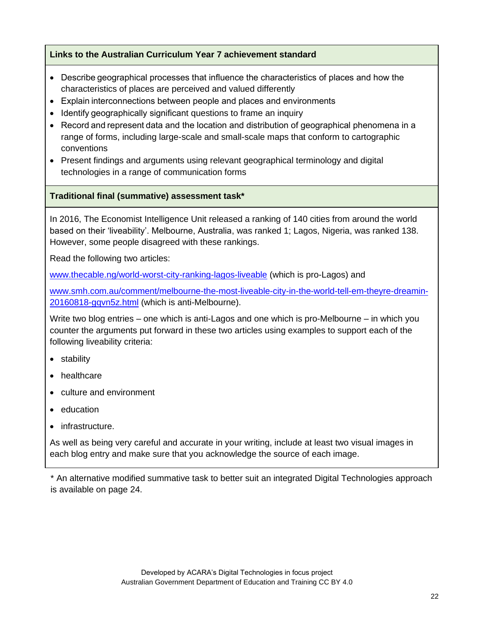### **Links to the Australian Curriculum Year 7 achievement standard**

- Describe geographical processes that influence the characteristics of places and how the characteristics of places are perceived and valued differently
- Explain interconnections between people and places and environments
- Identify geographically significant questions to frame an inquiry
- Record and represent data and the location and distribution of geographical phenomena in a range of forms, including large-scale and small-scale maps that conform to cartographic conventions
- Present findings and arguments using relevant geographical terminology and digital technologies in a range of communication forms

### **Traditional final (summative) assessment task\***

In 2016, The Economist Intelligence Unit released a ranking of 140 cities from around the world based on their 'liveability'. Melbourne, Australia, was ranked 1; Lagos, Nigeria, was ranked 138. However, some people disagreed with these rankings.

Read the following two articles:

[www.thecable.ng/world-worst-city-ranking-lagos-liveable](http://www.thecable.ng/world-worst-city-ranking-lagos-liveable) (which is pro-Lagos) and

[www.smh.com.au/comment/melbourne-the-most-liveable-city-in-the-world-tell-em-theyre-dreamin-](http://www.smh.com.au/comment/melbourne-the-most-liveable-city-in-the-world-tell-em-theyre-dreamin-20160818-gqvn5z.html)[20160818-gqvn5z.html](http://www.smh.com.au/comment/melbourne-the-most-liveable-city-in-the-world-tell-em-theyre-dreamin-20160818-gqvn5z.html) (which is anti-Melbourne).

Write two blog entries – one which is anti-Lagos and one which is pro-Melbourne – in which you counter the arguments put forward in these two articles using examples to support each of the following liveability criteria:

- stability
- healthcare
- culture and environment
- education
- infrastructure.

As well as being very careful and accurate in your writing, include at least two visual images in each blog entry and make sure that you acknowledge the source of each image.

\* An alternative modified summative task to better suit an integrated Digital Technologies approach is available on page 24.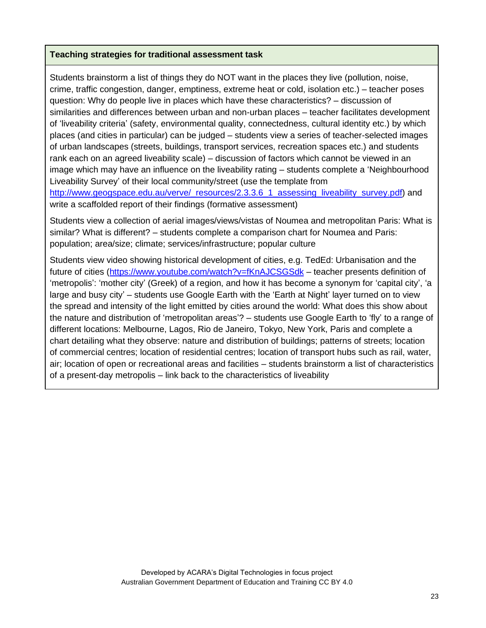### **Teaching strategies for traditional assessment task**

Students brainstorm a list of things they do NOT want in the places they live (pollution, noise, crime, traffic congestion, danger, emptiness, extreme heat or cold, isolation etc.) – teacher poses question: Why do people live in places which have these characteristics? – discussion of similarities and differences between urban and non-urban places – teacher facilitates development of 'liveability criteria' (safety, environmental quality, connectedness, cultural identity etc.) by which places (and cities in particular) can be judged – students view a series of teacher-selected images of urban landscapes (streets, buildings, transport services, recreation spaces etc.) and students rank each on an agreed liveability scale) – discussion of factors which cannot be viewed in an image which may have an influence on the liveability rating – students complete a 'Neighbourhood Liveability Survey' of their local community/street (use the template from

[http://www.geogspace.edu.au/verve/\\_resources/2.3.3.6\\_1\\_assessing\\_liveability\\_survey.pdf\)](http://www.geogspace.edu.au/verve/_resources/2.3.3.6_1_assessing_liveability_survey.pdf) and write a scaffolded report of their findings (formative assessment)

Students view a collection of aerial images/views/vistas of Noumea and metropolitan Paris: What is similar? What is different? – students complete a comparison chart for Noumea and Paris: population; area/size; climate; services/infrastructure; popular culture

Students view video showing historical development of cities, e.g. TedEd: Urbanisation and the future of cities [\(https://www.youtube.com/watch?v=fKnAJCSGSdk](https://www.youtube.com/watch?v=fKnAJCSGSdk) – teacher presents definition of 'metropolis': 'mother city' (Greek) of a region, and how it has become a synonym for 'capital city', 'a large and busy city' – students use Google Earth with the 'Earth at Night' layer turned on to view the spread and intensity of the light emitted by cities around the world: What does this show about the nature and distribution of 'metropolitan areas'? – students use Google Earth to 'fly' to a range of different locations: Melbourne, Lagos, Rio de Janeiro, Tokyo, New York, Paris and complete a chart detailing what they observe: nature and distribution of buildings; patterns of streets; location of commercial centres; location of residential centres; location of transport hubs such as rail, water, air; location of open or recreational areas and facilities – students brainstorm a list of characteristics of a present-day metropolis – link back to the characteristics of liveability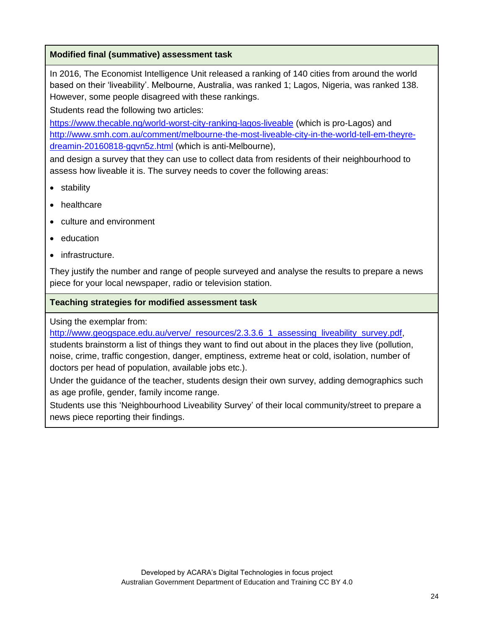### **Modified final (summative) assessment task**

In 2016, The Economist Intelligence Unit released a ranking of 140 cities from around the world based on their 'liveability'. Melbourne, Australia, was ranked 1; Lagos, Nigeria, was ranked 138. However, some people disagreed with these rankings.

Students read the following two articles:

<https://www.thecable.ng/world-worst-city-ranking-lagos-liveable> (which is pro-Lagos) and [http://www.smh.com.au/comment/melbourne-the-most-liveable-city-in-the-world-tell-em-theyre](http://www.smh.com.au/comment/melbourne-the-most-liveable-city-in-the-world-tell-em-theyre-dreamin-20160818-gqvn5z.html)[dreamin-20160818-gqvn5z.html](http://www.smh.com.au/comment/melbourne-the-most-liveable-city-in-the-world-tell-em-theyre-dreamin-20160818-gqvn5z.html) (which is anti-Melbourne),

and design a survey that they can use to collect data from residents of their neighbourhood to assess how liveable it is. The survey needs to cover the following areas:

- stability
- healthcare
- culture and environment
- education
- infrastructure.

They justify the number and range of people surveyed and analyse the results to prepare a news piece for your local newspaper, radio or television station.

### **Teaching strategies for modified assessment task**

Using the exemplar from:

http://www.geogspace.edu.au/verve/\_resources/2.3.3.6\_1\_assessing\_liveability\_survey.pdf

students brainstorm a list of things they want to find out about in the places they live (pollution, noise, crime, traffic congestion, danger, emptiness, extreme heat or cold, isolation, number of doctors per head of population, available jobs etc.).

Under the guidance of the teacher, students design their own survey, adding demographics such as age profile, gender, family income range.

Students use this 'Neighbourhood Liveability Survey' of their local community/street to prepare a news piece reporting their findings.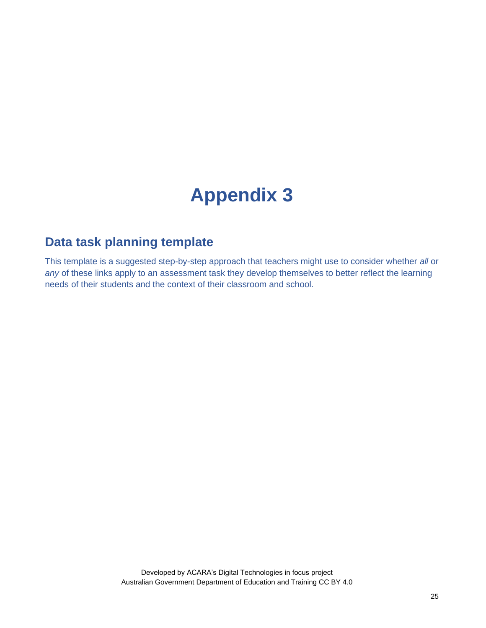# **Appendix 3**

# **Data task planning template**

This template is a suggested step-by-step approach that teachers might use to consider whether *all* or *any* of these links apply to an assessment task they develop themselves to better reflect the learning needs of their students and the context of their classroom and school.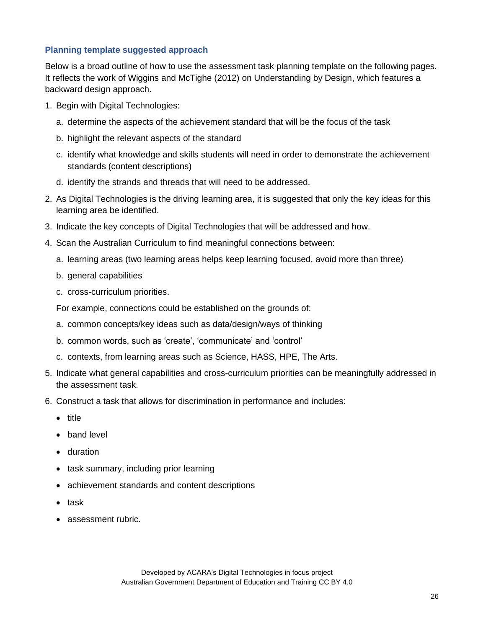### **Planning template suggested approach**

Below is a broad outline of how to use the assessment task planning template on the following pages. It reflects the work of Wiggins and McTighe (2012) on Understanding by Design, which features a backward design approach.

- 1. Begin with Digital Technologies:
	- a. determine the aspects of the achievement standard that will be the focus of the task
	- b. highlight the relevant aspects of the standard
	- c. identify what knowledge and skills students will need in order to demonstrate the achievement standards (content descriptions)
	- d. identify the strands and threads that will need to be addressed.
- 2. As Digital Technologies is the driving learning area, it is suggested that only the key ideas for this learning area be identified.
- 3. Indicate the key concepts of Digital Technologies that will be addressed and how.
- 4. Scan the Australian Curriculum to find meaningful connections between:
	- a. learning areas (two learning areas helps keep learning focused, avoid more than three)
	- b. general capabilities
	- c. cross-curriculum priorities.

For example, connections could be established on the grounds of:

- a. common concepts/key ideas such as data/design/ways of thinking
- b. common words, such as 'create', 'communicate' and 'control'
- c. contexts, from learning areas such as Science, HASS, HPE, The Arts.
- 5. Indicate what general capabilities and cross-curriculum priorities can be meaningfully addressed in the assessment task.
- 6. Construct a task that allows for discrimination in performance and includes:
	- title
	- band level
	- duration
	- task summary, including prior learning
	- achievement standards and content descriptions
	- task
	- assessment rubric.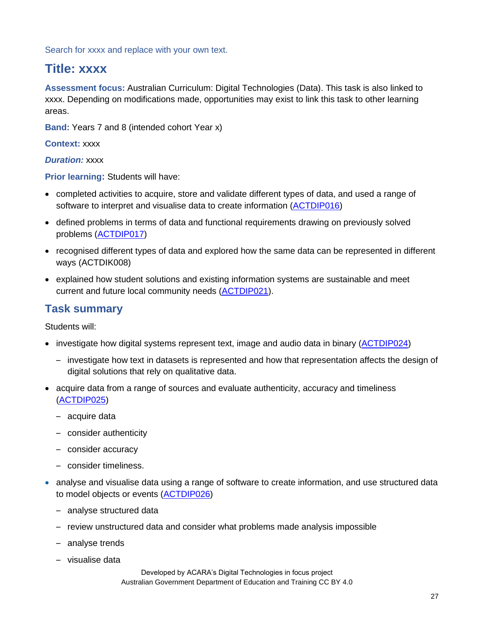Search for xxxx and replace with your own text.

# **Title: xxxx**

**Assessment focus:** Australian Curriculum: Digital Technologies (Data). This task is also linked to xxxx. Depending on modifications made, opportunities may exist to link this task to other learning areas.

**Band:** Years 7 and 8 (intended cohort Year x)

**Context:** xxxx

*Duration:* xxxx

**Prior learning:** Students will have:

- completed activities to acquire, store and validate different types of data, and used a range of software to interpret and visualise data to create information [\(ACTDIP016\)](http://www.scootle.edu.au/ec/search?accContentId=ACTDIP016)
- defined problems in terms of data and functional requirements drawing on previously solved problems [\(ACTDIP017\)](http://www.scootle.edu.au/ec/search?accContentId=ACTDIP017)
- recognised different types of data and explored how the same data can be represented in different ways (ACTDIK008)
- explained how student solutions and existing information systems are sustainable and meet current and future local community needs [\(ACTDIP021\)](http://www.scootle.edu.au/ec/search?accContentId=ACTDIP021).

## **Task summary**

Students will:

- investigate how digital systems represent text, image and audio data in binary [\(ACTDIP024\)](http://www.scootle.edu.au/ec/search?accContentId=ACTDIK024)
	- investigate how text in datasets is represented and how that representation affects the design of digital solutions that rely on qualitative data.
- acquire data from a range of sources and evaluate authenticity, accuracy and timeliness [\(ACTDIP025\)](http://www.scootle.edu.au/ec/search?accContentId=ACTDIP025)
	- acquire data
	- consider authenticity
	- consider accuracy
	- consider timeliness.
- analyse and visualise data using a range of software to create information, and use structured data to model objects or events [\(ACTDIP026\)](http://www.scootle.edu.au/ec/search?accContentId=ACTDIP026)
	- analyse structured data
	- review unstructured data and consider what problems made analysis impossible
	- analyse trends
	- visualise data

Developed by ACARA's Digital Technologies in focus project Australian Government Department of Education and Training CC BY 4.0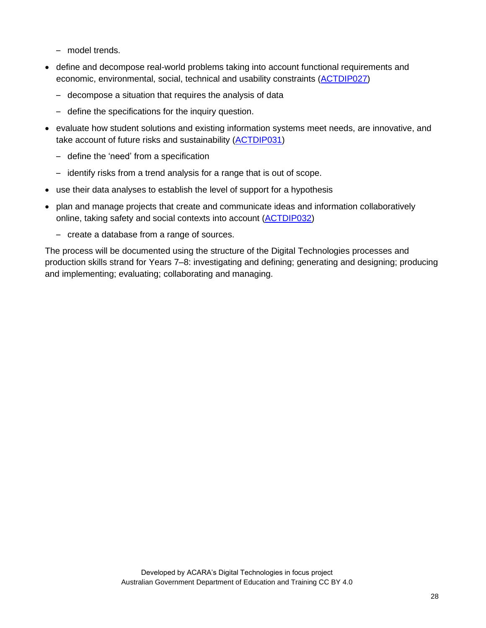- model trends.
- define and decompose real-world problems taking into account functional requirements and economic, environmental, social, technical and usability constraints [\(ACTDIP027\)](http://www.scootle.edu.au/ec/search?accContentId=ACTDIP027)
	- decompose a situation that requires the analysis of data
	- define the specifications for the inquiry question.
- evaluate how student solutions and existing information systems meet needs, are innovative, and take account of future risks and sustainability [\(ACTDIP031\)](http://www.scootle.edu.au/ec/search?accContentId=ACTDIP031)
	- define the 'need' from a specification
	- identify risks from a trend analysis for a range that is out of scope.
- use their data analyses to establish the level of support for a hypothesis
- plan and manage projects that create and communicate ideas and information collaboratively online, taking safety and social contexts into account [\(ACTDIP032\)](http://www.scootle.edu.au/ec/search?accContentId=ACTDIP032)
	- create a database from a range of sources.

The process will be documented using the structure of the Digital Technologies processes and production skills strand for Years 7–8: investigating and defining; generating and designing; producing and implementing; evaluating; collaborating and managing.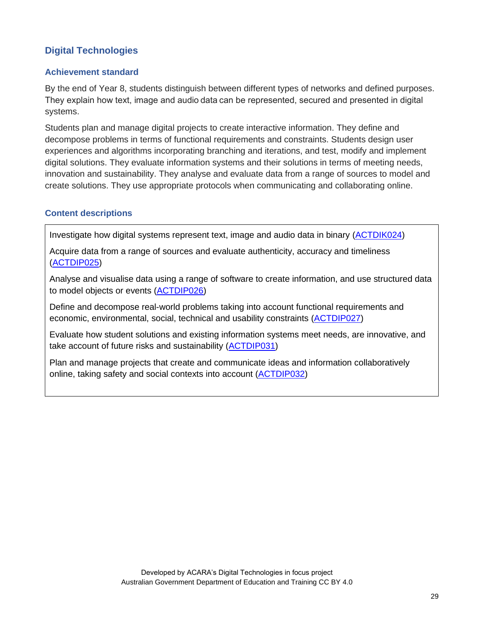## **Digital Technologies**

### **Achievement standard**

By the end of Year 8, students distinguish between different types of networks and defined purposes. They explain how text, image and audio data can be represented, secured and presented in digital systems.

Students plan and manage digital projects to create interactive information. They define and decompose problems in terms of functional requirements and constraints. Students design user experiences and algorithms incorporating branching and iterations, and test, modify and implement digital solutions. They evaluate information systems and their solutions in terms of meeting needs, innovation and sustainability. They analyse and evaluate data from a range of sources to model and create solutions. They use appropriate protocols when communicating and collaborating online.

### **Content descriptions**

Investigate how digital systems represent text, image and audio data in binary [\(ACTDIK024\)](http://www.scootle.edu.au/ec/search?accContentId=ACTDIK024)

Acquire data from a range of sources and evaluate authenticity, accuracy and timeliness [\(ACTDIP025\)](http://www.scootle.edu.au/ec/search?accContentId=ACTDIP025)

Analyse and visualise data using a range of software to create information, and use structured data to model objects or events [\(ACTDIP026\)](http://www.scootle.edu.au/ec/search?accContentId=ACTDIP026)

Define and decompose real-world problems taking into account functional requirements and economic, environmental, social, technical and usability constraints [\(ACTDIP027\)](http://www.scootle.edu.au/ec/search?accContentId=ACTDIP027)

Evaluate how student solutions and existing information systems meet needs, are innovative, and take account of future risks and sustainability [\(ACTDIP031\)](http://www.scootle.edu.au/ec/search?accContentId=ACTDIP031)

Plan and manage projects that create and communicate ideas and information collaboratively online, taking safety and social contexts into account [\(ACTDIP032\)](http://www.scootle.edu.au/ec/search?accContentId=ACTDIP032)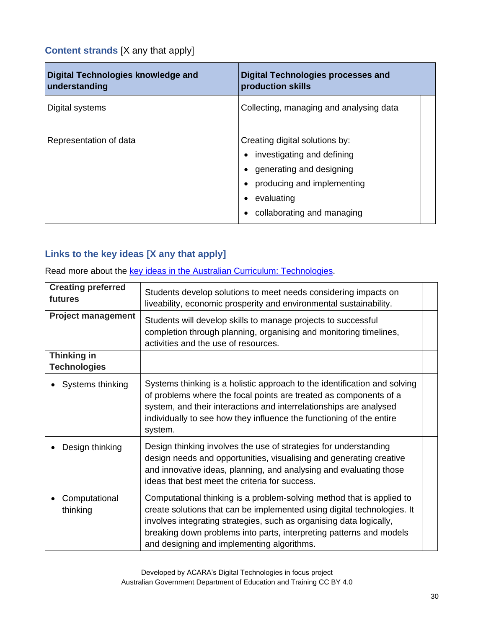## **Content strands** [X any that apply]

Ĩ.

| Digital Technologies knowledge and<br>understanding | <b>Digital Technologies processes and</b><br>production skills                                                                                                     |
|-----------------------------------------------------|--------------------------------------------------------------------------------------------------------------------------------------------------------------------|
| Digital systems                                     | Collecting, managing and analysing data                                                                                                                            |
| Representation of data                              | Creating digital solutions by:<br>investigating and defining<br>generating and designing<br>producing and implementing<br>evaluating<br>collaborating and managing |

## **Links to the key ideas [X any that apply]**

Read more about the key ideas in the Australian Curriculum: [Technologies.](https://www.australiancurriculum.edu.au/f-10-curriculum/technologies/key-ideas/)

| <b>Creating preferred</b><br>futures      | Students develop solutions to meet needs considering impacts on<br>liveability, economic prosperity and environmental sustainability.                                                                                                                                                                                                        |  |  |
|-------------------------------------------|----------------------------------------------------------------------------------------------------------------------------------------------------------------------------------------------------------------------------------------------------------------------------------------------------------------------------------------------|--|--|
| <b>Project management</b>                 | Students will develop skills to manage projects to successful<br>completion through planning, organising and monitoring timelines,<br>activities and the use of resources.                                                                                                                                                                   |  |  |
| <b>Thinking in</b><br><b>Technologies</b> |                                                                                                                                                                                                                                                                                                                                              |  |  |
| Systems thinking                          | Systems thinking is a holistic approach to the identification and solving<br>of problems where the focal points are treated as components of a<br>system, and their interactions and interrelationships are analysed<br>individually to see how they influence the functioning of the entire<br>system.                                      |  |  |
| Design thinking                           | Design thinking involves the use of strategies for understanding<br>design needs and opportunities, visualising and generating creative<br>and innovative ideas, planning, and analysing and evaluating those<br>ideas that best meet the criteria for success.                                                                              |  |  |
| Computational<br>thinking                 | Computational thinking is a problem-solving method that is applied to<br>create solutions that can be implemented using digital technologies. It<br>involves integrating strategies, such as organising data logically,<br>breaking down problems into parts, interpreting patterns and models<br>and designing and implementing algorithms. |  |  |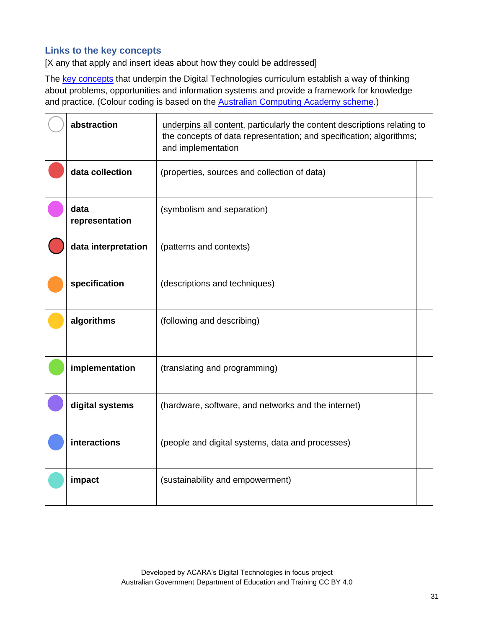### **Links to the key concepts**

[X any that apply and insert ideas about how they could be addressed]

The [key concepts](https://www.australiancurriculum.edu.au/f-10-curriculum/technologies/digital-technologies/structure/) that underpin the Digital Technologies curriculum establish a way of thinking about problems, opportunities and information systems and provide a framework for knowledge and practice. (Colour coding is based on the **Australian Computing Academy scheme**.)

|               | abstraction<br>underpins all content, particularly the content descriptions relating to<br>the concepts of data representation; and specification; algorithms;<br>and implementation |                                                     |  |  |
|---------------|--------------------------------------------------------------------------------------------------------------------------------------------------------------------------------------|-----------------------------------------------------|--|--|
|               | data collection                                                                                                                                                                      | (properties, sources and collection of data)        |  |  |
|               | data<br>representation                                                                                                                                                               | (symbolism and separation)                          |  |  |
|               | data interpretation                                                                                                                                                                  | (patterns and contexts)                             |  |  |
| specification |                                                                                                                                                                                      | (descriptions and techniques)                       |  |  |
|               | algorithms                                                                                                                                                                           | (following and describing)                          |  |  |
|               | implementation                                                                                                                                                                       | (translating and programming)                       |  |  |
|               | digital systems                                                                                                                                                                      | (hardware, software, and networks and the internet) |  |  |
|               | interactions                                                                                                                                                                         | (people and digital systems, data and processes)    |  |  |
|               | impact<br>(sustainability and empowerment)                                                                                                                                           |                                                     |  |  |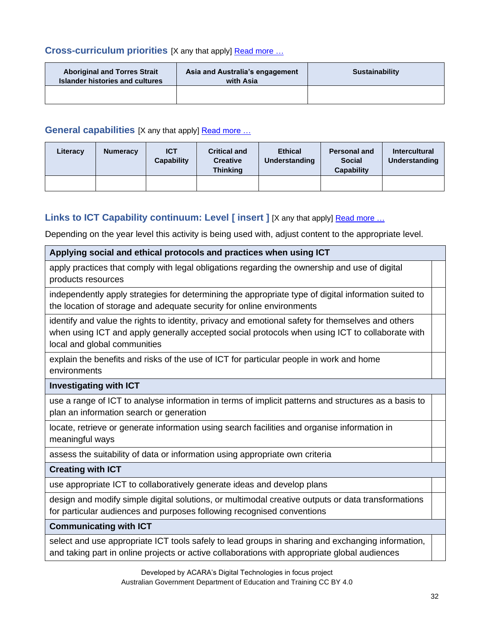### **Cross-curriculum priorities** [X any that apply] [Read more](https://www.australiancurriculum.edu.au/f-10-curriculum/cross-curriculum-priorities/) …

| <b>Aboriginal and Torres Strait</b><br>Islander histories and cultures | Asia and Australia's engagement<br>with Asia | <b>Sustainability</b> |  |
|------------------------------------------------------------------------|----------------------------------------------|-----------------------|--|
|                                                                        |                                              |                       |  |

### **General capabilities** [X any that apply] **Read more ...**

| Literacy | <b>Numeracy</b> | <b>ICT</b><br><b>Capability</b> | <b>Critical and</b><br><b>Creative</b><br><b>Thinking</b> | <b>Ethical</b><br><b>Understanding</b> | <b>Personal and</b><br><b>Social</b><br><b>Capability</b> | <b>Intercultural</b><br>Understanding |
|----------|-----------------|---------------------------------|-----------------------------------------------------------|----------------------------------------|-----------------------------------------------------------|---------------------------------------|
|          |                 |                                 |                                                           |                                        |                                                           |                                       |

## **Links to ICT Capability continuum: Level [insert ] [X any that apply] [Read more](https://www.australiancurriculum.edu.au/f-10-curriculum/general-capabilities/information-and-communication-technology-ict-capability/) ...**

Depending on the year level this activity is being used with, adjust content to the appropriate level.

# **Applying social and ethical protocols and practices when using ICT** apply practices that comply with legal obligations regarding the ownership and use of digital products resources independently apply strategies for determining the appropriate type of digital information suited to the location of storage and adequate security for online environments identify and value the rights to identity, privacy and emotional safety for themselves and others when using ICT and apply generally accepted social protocols when using ICT to collaborate with local and global communities explain the benefits and risks of the use of ICT for particular people in work and home environments **Investigating with ICT** use a range of ICT to analyse information in terms of implicit patterns and structures as a basis to plan an information search or generation locate, retrieve or generate information using search facilities and organise information in meaningful ways assess the suitability of data or information using appropriate own criteria **Creating with ICT** use appropriate ICT to collaboratively generate ideas and develop plans design and modify simple digital solutions, or multimodal creative outputs or data transformations for particular audiences and purposes following recognised conventions **Communicating with ICT**

select and use appropriate ICT tools safely to lead groups in sharing and exchanging information, and taking part in online projects or active collaborations with appropriate global audiences

> Developed by ACARA's Digital Technologies in focus project Australian Government Department of Education and Training CC BY 4.0